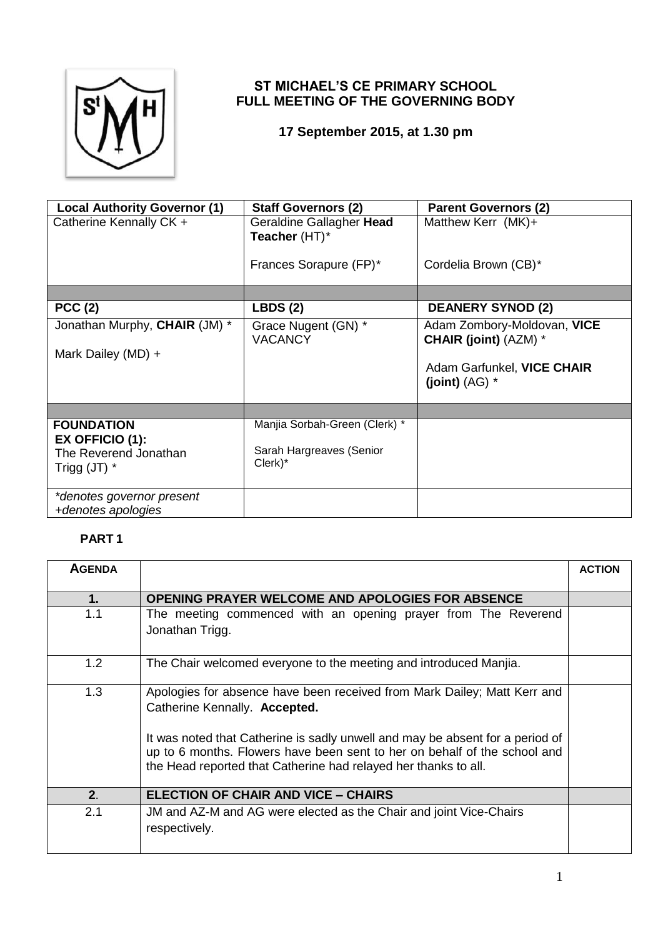

## **ST MICHAEL'S CE PRIMARY SCHOOL FULL MEETING OF THE GOVERNING BODY**

**17 September 2015, at 1.30 pm**

| <b>Local Authority Governor (1)</b>                                             | <b>Staff Governors (2)</b>                                           | <b>Parent Governors (2)</b>                                 |
|---------------------------------------------------------------------------------|----------------------------------------------------------------------|-------------------------------------------------------------|
| Catherine Kennally CK +                                                         | Geraldine Gallagher Head<br>Teacher (HT)*                            | Matthew Kerr $(MK)$ +                                       |
|                                                                                 | Frances Sorapure (FP)*                                               | Cordelia Brown (CB)*                                        |
|                                                                                 |                                                                      |                                                             |
| <b>PCC (2)</b>                                                                  | <b>LBDS (2)</b>                                                      | <b>DEANERY SYNOD (2)</b>                                    |
| Jonathan Murphy, CHAIR (JM) *                                                   | Grace Nugent (GN) *<br><b>VACANCY</b>                                | Adam Zombory-Moldovan, VICE<br><b>CHAIR (joint) (AZM) *</b> |
| Mark Dailey (MD) +                                                              |                                                                      | Adam Garfunkel, VICE CHAIR<br>(joint) $(AG)$ *              |
|                                                                                 |                                                                      |                                                             |
| <b>FOUNDATION</b><br>EX OFFICIO (1):<br>The Reverend Jonathan<br>Trigg $(JT)$ * | Manjia Sorbah-Green (Clerk) *<br>Sarah Hargreaves (Senior<br>Clerk)* |                                                             |
| *denotes governor present<br>+denotes apologies                                 |                                                                      |                                                             |

## **PART 1**

| <b>AGENDA</b>  |                                                                                                                                                                                                                                                                                                                                            | <b>ACTION</b> |
|----------------|--------------------------------------------------------------------------------------------------------------------------------------------------------------------------------------------------------------------------------------------------------------------------------------------------------------------------------------------|---------------|
| 1.             | OPENING PRAYER WELCOME AND APOLOGIES FOR ABSENCE                                                                                                                                                                                                                                                                                           |               |
| 1.1            | The meeting commenced with an opening prayer from The Reverend<br>Jonathan Trigg.                                                                                                                                                                                                                                                          |               |
| 1.2            | The Chair welcomed everyone to the meeting and introduced Manjia.                                                                                                                                                                                                                                                                          |               |
| 1.3            | Apologies for absence have been received from Mark Dailey; Matt Kerr and<br>Catherine Kennally. Accepted.<br>It was noted that Catherine is sadly unwell and may be absent for a period of<br>up to 6 months. Flowers have been sent to her on behalf of the school and<br>the Head reported that Catherine had relayed her thanks to all. |               |
| 2 <sub>1</sub> | <b>ELECTION OF CHAIR AND VICE - CHAIRS</b>                                                                                                                                                                                                                                                                                                 |               |
| 2.1            | JM and AZ-M and AG were elected as the Chair and joint Vice-Chairs<br>respectively.                                                                                                                                                                                                                                                        |               |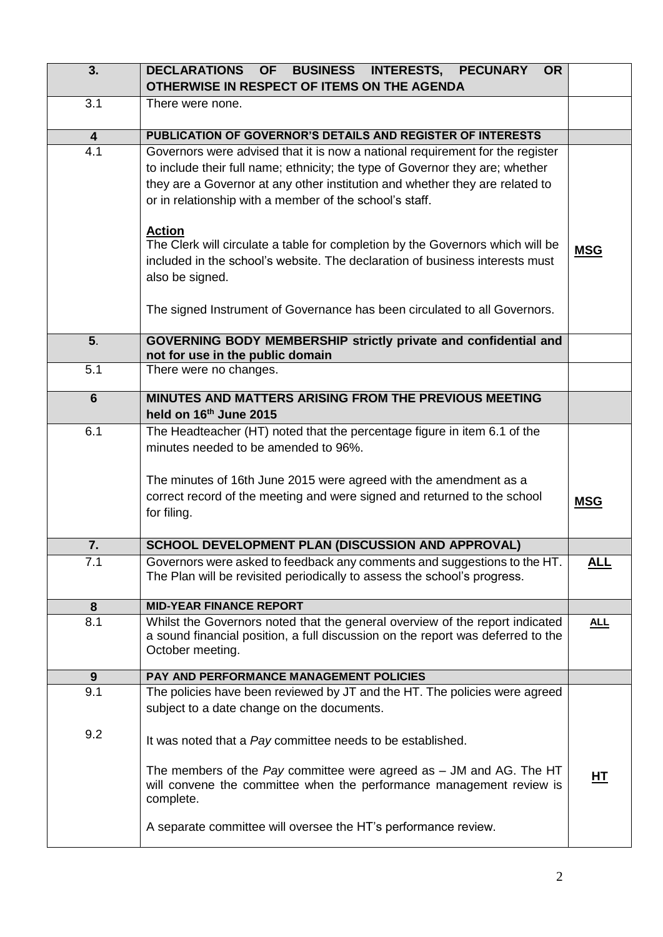| 3.                      | <b>DECLARATIONS</b><br><b>OF</b><br>BUSINESS INTERESTS, PECUNARY<br><b>OR</b>                                                                                  |            |
|-------------------------|----------------------------------------------------------------------------------------------------------------------------------------------------------------|------------|
|                         | OTHERWISE IN RESPECT OF ITEMS ON THE AGENDA                                                                                                                    |            |
| 3.1                     | There were none.                                                                                                                                               |            |
| $\overline{\mathbf{4}}$ | PUBLICATION OF GOVERNOR'S DETAILS AND REGISTER OF INTERESTS                                                                                                    |            |
| 4.1                     | Governors were advised that it is now a national requirement for the register                                                                                  |            |
|                         | to include their full name; ethnicity; the type of Governor they are; whether                                                                                  |            |
|                         | they are a Governor at any other institution and whether they are related to                                                                                   |            |
|                         | or in relationship with a member of the school's staff.                                                                                                        |            |
|                         |                                                                                                                                                                |            |
|                         | <b>Action</b>                                                                                                                                                  |            |
|                         | The Clerk will circulate a table for completion by the Governors which will be<br>included in the school's website. The declaration of business interests must | <b>MSG</b> |
|                         | also be signed.                                                                                                                                                |            |
|                         |                                                                                                                                                                |            |
|                         | The signed Instrument of Governance has been circulated to all Governors.                                                                                      |            |
|                         |                                                                                                                                                                |            |
| 5 <sub>1</sub>          | GOVERNING BODY MEMBERSHIP strictly private and confidential and                                                                                                |            |
|                         | not for use in the public domain                                                                                                                               |            |
| 5.1                     | There were no changes.                                                                                                                                         |            |
| $6\phantom{1}$          | MINUTES AND MATTERS ARISING FROM THE PREVIOUS MEETING                                                                                                          |            |
|                         | held on 16 <sup>th</sup> June 2015                                                                                                                             |            |
| 6.1                     | The Headteacher (HT) noted that the percentage figure in item 6.1 of the                                                                                       |            |
|                         | minutes needed to be amended to 96%.                                                                                                                           |            |
|                         |                                                                                                                                                                |            |
|                         | The minutes of 16th June 2015 were agreed with the amendment as a<br>correct record of the meeting and were signed and returned to the school                  |            |
|                         | for filing.                                                                                                                                                    | <b>MSG</b> |
|                         |                                                                                                                                                                |            |
| 7.                      | SCHOOL DEVELOPMENT PLAN (DISCUSSION AND APPROVAL)                                                                                                              |            |
| 7.1                     | Governors were asked to feedback any comments and suggestions to the HT.                                                                                       | <u>ALL</u> |
|                         | The Plan will be revisited periodically to assess the school's progress.                                                                                       |            |
|                         | <b>MID-YEAR FINANCE REPORT</b>                                                                                                                                 |            |
| 8<br>8.1                | Whilst the Governors noted that the general overview of the report indicated                                                                                   | <u>ALL</u> |
|                         | a sound financial position, a full discussion on the report was deferred to the                                                                                |            |
|                         | October meeting.                                                                                                                                               |            |
|                         | <b>PAY AND PERFORMANCE MANAGEMENT POLICIES</b>                                                                                                                 |            |
| 9<br>9.1                | The policies have been reviewed by JT and the HT. The policies were agreed                                                                                     |            |
|                         | subject to a date change on the documents.                                                                                                                     |            |
|                         |                                                                                                                                                                |            |
| 9.2                     | It was noted that a Pay committee needs to be established.                                                                                                     |            |
|                         |                                                                                                                                                                |            |
|                         | The members of the Pay committee were agreed as $-$ JM and AG. The HT                                                                                          | НT         |
|                         | will convene the committee when the performance management review is                                                                                           |            |
|                         | complete.                                                                                                                                                      |            |
|                         | A separate committee will oversee the HT's performance review.                                                                                                 |            |
|                         |                                                                                                                                                                |            |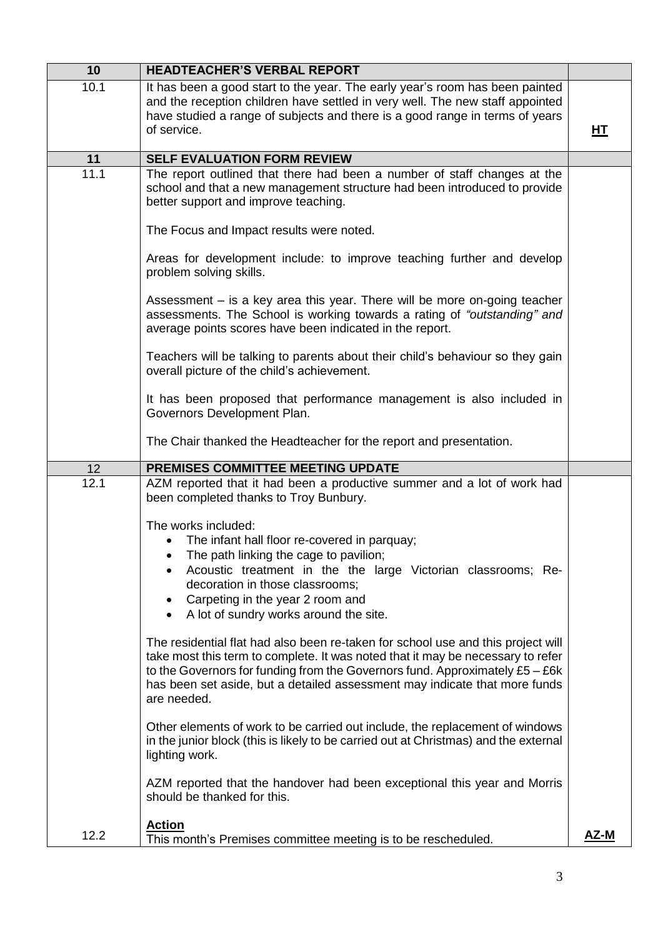|      | <b>HEADTEACHER'S VERBAL REPORT</b>                                                                                                                                                                                                                                                                                                                                                                                                                                                                                                                                                                                                                                                                                                                                                                                                                                                                                                |    |
|------|-----------------------------------------------------------------------------------------------------------------------------------------------------------------------------------------------------------------------------------------------------------------------------------------------------------------------------------------------------------------------------------------------------------------------------------------------------------------------------------------------------------------------------------------------------------------------------------------------------------------------------------------------------------------------------------------------------------------------------------------------------------------------------------------------------------------------------------------------------------------------------------------------------------------------------------|----|
| 10.1 | It has been a good start to the year. The early year's room has been painted<br>and the reception children have settled in very well. The new staff appointed<br>have studied a range of subjects and there is a good range in terms of years<br>of service.                                                                                                                                                                                                                                                                                                                                                                                                                                                                                                                                                                                                                                                                      | HТ |
| 11   | <b>SELF EVALUATION FORM REVIEW</b>                                                                                                                                                                                                                                                                                                                                                                                                                                                                                                                                                                                                                                                                                                                                                                                                                                                                                                |    |
| 11.1 | The report outlined that there had been a number of staff changes at the<br>school and that a new management structure had been introduced to provide<br>better support and improve teaching.<br>The Focus and Impact results were noted.<br>Areas for development include: to improve teaching further and develop<br>problem solving skills.<br>Assessment – is a key area this year. There will be more on-going teacher<br>assessments. The School is working towards a rating of "outstanding" and                                                                                                                                                                                                                                                                                                                                                                                                                           |    |
|      | average points scores have been indicated in the report.<br>Teachers will be talking to parents about their child's behaviour so they gain<br>overall picture of the child's achievement.<br>It has been proposed that performance management is also included in<br>Governors Development Plan.<br>The Chair thanked the Headteacher for the report and presentation.                                                                                                                                                                                                                                                                                                                                                                                                                                                                                                                                                            |    |
| 12   | PREMISES COMMITTEE MEETING UPDATE                                                                                                                                                                                                                                                                                                                                                                                                                                                                                                                                                                                                                                                                                                                                                                                                                                                                                                 |    |
| 12.1 | AZM reported that it had been a productive summer and a lot of work had<br>been completed thanks to Troy Bunbury.<br>The works included:                                                                                                                                                                                                                                                                                                                                                                                                                                                                                                                                                                                                                                                                                                                                                                                          |    |
|      | The infant hall floor re-covered in parquay;<br>The path linking the cage to pavilion;<br>Acoustic treatment in the the large Victorian classrooms; Re-<br>decoration in those classrooms;<br>Carpeting in the year 2 room and<br>A lot of sundry works around the site.<br>The residential flat had also been re-taken for school use and this project will<br>take most this term to complete. It was noted that it may be necessary to refer<br>to the Governors for funding from the Governors fund. Approximately £5 - £6k<br>has been set aside, but a detailed assessment may indicate that more funds<br>are needed.<br>Other elements of work to be carried out include, the replacement of windows<br>in the junior block (this is likely to be carried out at Christmas) and the external<br>lighting work.<br>AZM reported that the handover had been exceptional this year and Morris<br>should be thanked for this. |    |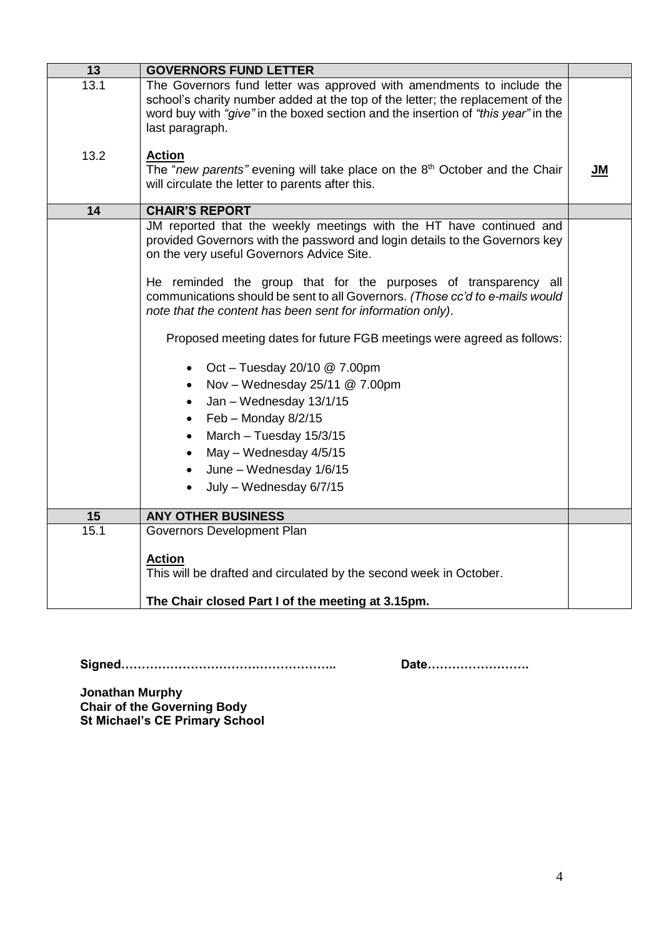| 13   | <b>GOVERNORS FUND LETTER</b>                                                                                                                                                                                                                                    |           |
|------|-----------------------------------------------------------------------------------------------------------------------------------------------------------------------------------------------------------------------------------------------------------------|-----------|
| 13.1 | The Governors fund letter was approved with amendments to include the<br>school's charity number added at the top of the letter; the replacement of the<br>word buy with "give" in the boxed section and the insertion of "this year" in the<br>last paragraph. |           |
| 13.2 | <b>Action</b><br>The "new parents" evening will take place on the 8 <sup>th</sup> October and the Chair<br>will circulate the letter to parents after this.                                                                                                     | <b>JM</b> |
| 14   | <b>CHAIR'S REPORT</b>                                                                                                                                                                                                                                           |           |
|      | JM reported that the weekly meetings with the HT have continued and<br>provided Governors with the password and login details to the Governors key<br>on the very useful Governors Advice Site.                                                                 |           |
|      | He reminded the group that for the purposes of transparency all<br>communications should be sent to all Governors. (Those cc'd to e-mails would<br>note that the content has been sent for information only).                                                   |           |
|      | Proposed meeting dates for future FGB meetings were agreed as follows:                                                                                                                                                                                          |           |
|      | Oct - Tuesday 20/10 @ 7.00pm<br>$\bullet$                                                                                                                                                                                                                       |           |
|      | Nov - Wednesday $25/11 \ @$ 7.00pm<br>$\bullet$                                                                                                                                                                                                                 |           |
|      | Jan - Wednesday 13/1/15<br>$\bullet$                                                                                                                                                                                                                            |           |
|      | $Feb - Monday 8/2/15$<br>$\bullet$                                                                                                                                                                                                                              |           |
|      | March - Tuesday 15/3/15                                                                                                                                                                                                                                         |           |
|      | May - Wednesday 4/5/15                                                                                                                                                                                                                                          |           |
|      | June - Wednesday 1/6/15                                                                                                                                                                                                                                         |           |
|      | July - Wednesday 6/7/15<br>$\bullet$                                                                                                                                                                                                                            |           |
| 15   | <b>ANY OTHER BUSINESS</b>                                                                                                                                                                                                                                       |           |
| 15.1 | Governors Development Plan                                                                                                                                                                                                                                      |           |
|      | <b>Action</b>                                                                                                                                                                                                                                                   |           |
|      | This will be drafted and circulated by the second week in October.                                                                                                                                                                                              |           |
|      |                                                                                                                                                                                                                                                                 |           |
|      | The Chair closed Part I of the meeting at 3.15pm.                                                                                                                                                                                                               |           |

**Signed…………………………………………….. Date…………………….**

**Jonathan Murphy Chair of the Governing Body St Michael's CE Primary School**